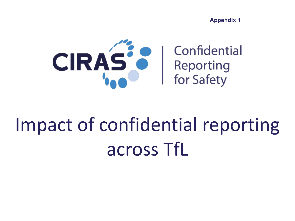**Appendix 1**



## Impact of confidential reporting across TfL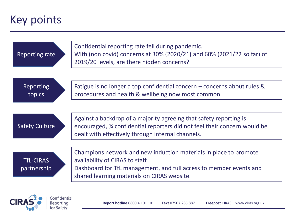### Key points

Reporting for Safety

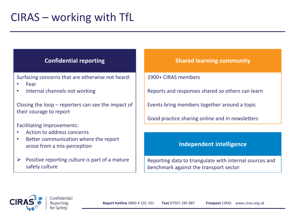Surfacing concerns that are otherwise not heard:

- Fear
- Internal channels not working

Closing the loop – reporters can see the impact of their courage to report

Facilitating improvements:

- Action to address concerns
- Better communication where the report arose from a mis-perception
- $\triangleright$  Positive reporting culture is part of a mature safety culture

#### **Confidential reporting the state of the Shared learning community**

1900+ CIRAS members

Reports and responses shared so others can learn

Events bring members together around a topic

Good practice sharing online and in newsletters

#### **Independent intelligence**

Reporting data to triangulate with internal sources and benchmark against the transport sector

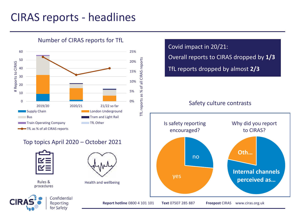### CIRAS reports - headlines



Number of CIRAS reports for TfL

#### Top topics April 2020 – October 2021





Rules & procedures

Health and wellbeing



Covid impact in 20/21: Overall reports to CIRAS dropped by **1/3** TfL reports dropped by almost **2/3**

#### Safety culture contrasts

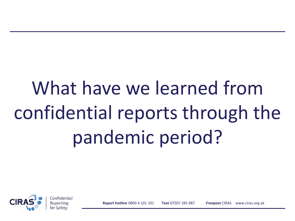# What have we learned from confidential reports through the pandemic period?

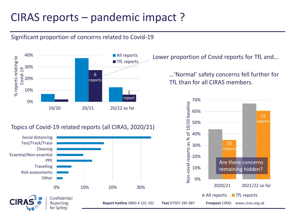### CIRAS reports – pandemic impact ?

### Significant proportion of concerns related to Covid-19



#### Topics of Covid-19 related reports (all CIRAS, 2020/21)



Lower proportion of Covid reports for TfL and…

…'Normal' safety concerns fell further for TfL than for all CIRAS members.

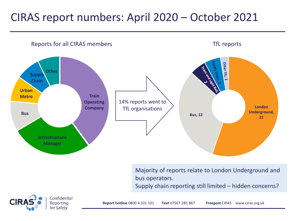### CIRAS report numbers: April 2020 – October 2021



Majority of reports relate to London Underground and bus operators.

Supply chain reporting still limited – hidden concerns?

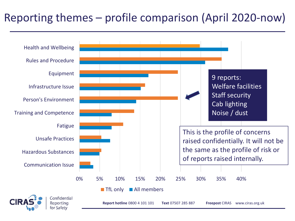### Reporting themes – profile comparison (April 2020-now)

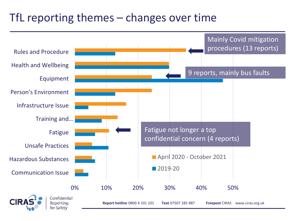### TfL reporting themes – changes over time

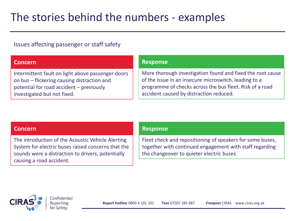### The stories behind the numbers - examples

#### Issues affecting passenger or staff safety

#### **Concern**

Intermittent fault on light above passenger doors on bus – flickering causing distraction and potential for road accident – previously investigated but not fixed.

#### **Response**

More thorough investigation found and fixed the root cause of the issue in an insecure microswitch, leading to a programme of checks across the bus fleet. Risk of a road accident caused by distraction reduced.

#### **Concern**

The introduction of the Acoustic Vehicle Alerting System for electric buses raised concerns that the sounds were a distraction to drivers, potentially causing a road accident.

#### **Response**

Fleet check and repositioning of speakers for some buses, together with continued engagement with staff regarding the changeover to quieter electric buses.

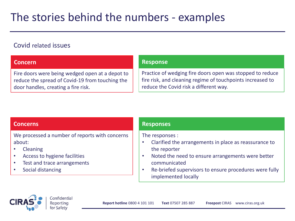## The stories behind the numbers - examples

### Covid related issues

#### **Concern**

Fire doors were being wedged open at a depot to reduce the spread of Covid-19 from touching the door handles, creating a fire risk.

#### **Response**

Practice of wedging fire doors open was stopped to reduce fire risk, and cleaning regime of touchpoints increased to reduce the Covid risk a different way.

#### **Concerns**

We processed a number of reports with concerns about:

- Cleaning
- Access to hygiene facilities
- Test and trace arrangements
- Social distancing

#### **Responses**

The responses :

- Clarified the arrangements in place as reassurance to the reporter
- Noted the need to ensure arrangements were better communicated
- Re-briefed supervisors to ensure procedures were fully implemented locally



Confidential Reporting for Safety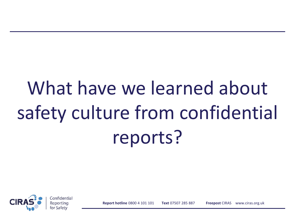# What have we learned about safety culture from confidential reports?

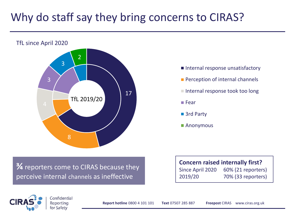## Why do staff say they bring concerns to CIRAS?



- Internal response unsatisfactory
- **Perception of internal channels**
- Internal response took too long
- Fear
- 3rd Party
- Anonymous

**¾** reporters come to CIRAS because they perceive internal channels as ineffective

Confidential

#### **Concern raised internally first?**

Since April 2020 60% (21 reporters) 2019/20 70% (33 reporters)

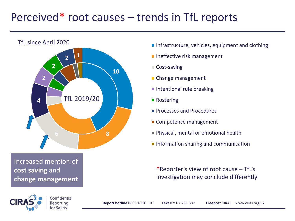### Perceived\* root causes – trends in TfL reports



Increased mention of **cost saving** and **change management**

- Infrastructure, vehicles, equipment and clothing
- **Ineffective risk management**
- Cost-saving
- Change management
- $\blacksquare$  Intentional rule breaking
- Rostering
- **Processes and Procedures**
- Competence management
- **Physical, mental or emotional health**
- Information sharing and communication

\*Reporter's view of root cause – TfL's investigation may conclude differently



Confidential Reporting for Safety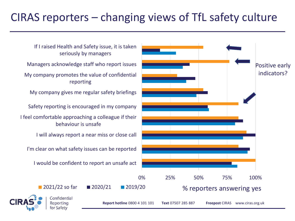### CIRAS reporters – changing views of TfL safety culture

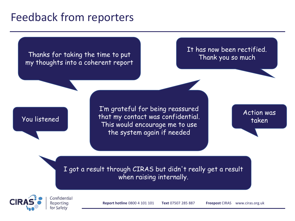### Feedback from reporters

#### Thanks for taking the time to put my thoughts into a coherent report

It has now been rectified. Thank you so much

### You listened

I'm grateful for being reassured that my contact was confidential. This would encourage me to use the system again if needed

Action was taken

I got a result through CIRAS but didn't really get a result when raising internally.



Confidential Reporting for Safety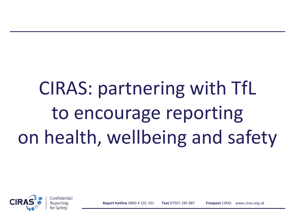# CIRAS: partnering with TfL to encourage reporting on health, wellbeing and safety

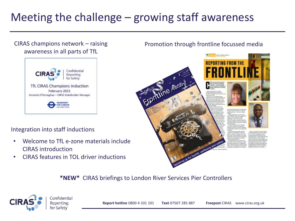## Meeting the challenge – growing staff awareness

#### CIRAS champions network – raising awareness in all parts of TfL



#### Integration into staff inductions

- Welcome to TfL e-zone materials include CIRAS introduction
- CIRAS features in TOL driver inductions

#### Promotion through frontline focussed media



**\*NEW\*** CIRAS briefings to London River Services Pier Controllers



Confidential Reporting for Safety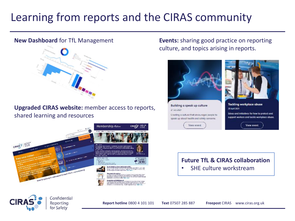## Learning from reports and the CIRAS community

#### **New Dashboard** for TfL Management



**Upgraded CIRAS website:** member access to reports, shared learning and resources



**Events:** sharing good practice on reporting culture, and topics arising in reports.



#### **Future TfL & CIRAS collaboration**

• SHE culture workstream



Confidential Reporting for Safety